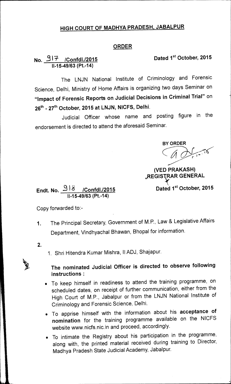## **HIGH COURT OF MADHYA PRADESH, JABALPUR**

## **ORDER**

## **No. 31-7/Confdl./2015 Dated 1st October, 2015 11-15-49/63 (Pt.-14)**

The LNJN National Institute of Criminology and Forensic Science, Delhi, Ministry of Home Affairs is organizing two days Seminar on **"Impact of Forensic Reports on Judicial Decisions in Criminal Trial"** on 26<sup>th</sup> - 27<sup>th</sup> October, 2015 at LNJN, NICFS, Delhi.

Judicial Officer whose name and posting figure in the endorsement is directed to attend the aforesaid Seminar.

**BY ORDER** 

**(VED PRAKASH) ,REGISTAR GENERAL** 

**Dated 1st October, 2015** 

**Endt. No.** 2 I 6 **/Confdl./2015 11-15-49/63 (Pt.-14)** 

Copy forwarded to:-

- 1. The Principal Secretary, Government of M.P., Law & Legislative Affairs Department, Vindhyachal Bhawan, Bhopal for information.
- **2.**
- 1. Shri Hitendra Kumar Mishra, II ADJ, Shajapur.

## **The nominated Judicial Officer is directed to observe following instructions:**

- To keep himself in readiness to attend the training programme, on scheduled dates, on receipt of further communication, either from the High Court of M.P., Jabalpur or from the LNJN National Institute of Criminology and Forensic Science, Delhi.
- To apprise himself with the information about his **acceptance of nomination** for the training programme available on the NICFS website www.nicfs.nic.in and proceed, accordingly.
- To intimate the Registry about his participation in the programme, along with, the printed material received during training to Director, Madhya Pradesh State Judicial Academy, Jabalpur.